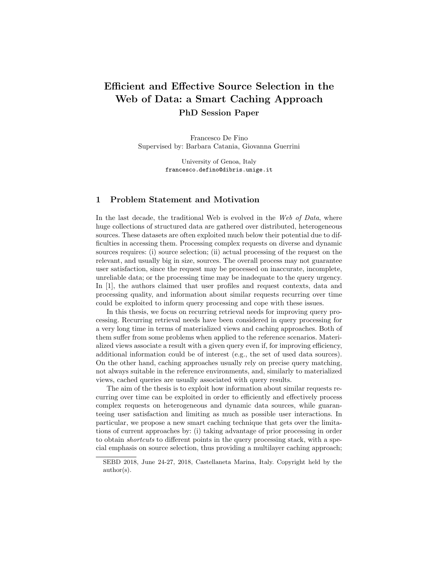# Efficient and Effective Source Selection in the Web of Data: a Smart Caching Approach PhD Session Paper

Francesco De Fino Supervised by: Barbara Catania, Giovanna Guerrini

> University of Genoa, Italy francesco.defino@dibris.unige.it

## 1 Problem Statement and Motivation

In the last decade, the traditional Web is evolved in the Web of Data, where huge collections of structured data are gathered over distributed, heterogeneous sources. These datasets are often exploited much below their potential due to difficulties in accessing them. Processing complex requests on diverse and dynamic sources requires: (i) source selection; (ii) actual processing of the request on the relevant, and usually big in size, sources. The overall process may not guarantee user satisfaction, since the request may be processed on inaccurate, incomplete, unreliable data; or the processing time may be inadequate to the query urgency. In [1], the authors claimed that user profiles and request contexts, data and processing quality, and information about similar requests recurring over time could be exploited to inform query processing and cope with these issues.

In this thesis, we focus on recurring retrieval needs for improving query processing. Recurring retrieval needs have been considered in query processing for a very long time in terms of materialized views and caching approaches. Both of them suffer from some problems when applied to the reference scenarios. Materialized views associate a result with a given query even if, for improving efficiency, additional information could be of interest (e.g., the set of used data sources). On the other hand, caching approaches usually rely on precise query matching, not always suitable in the reference environments, and, similarly to materialized views, cached queries are usually associated with query results.

The aim of the thesis is to exploit how information about similar requests recurring over time can be exploited in order to efficiently and effectively process complex requests on heterogeneous and dynamic data sources, while guaranteeing user satisfaction and limiting as much as possible user interactions. In particular, we propose a new smart caching technique that gets over the limitations of current approaches by: (i) taking advantage of prior processing in order to obtain shortcuts to different points in the query processing stack, with a special emphasis on source selection, thus providing a multilayer caching approach;

SEBD 2018, June 24-27, 2018, Castellaneta Marina, Italy. Copyright held by the author(s).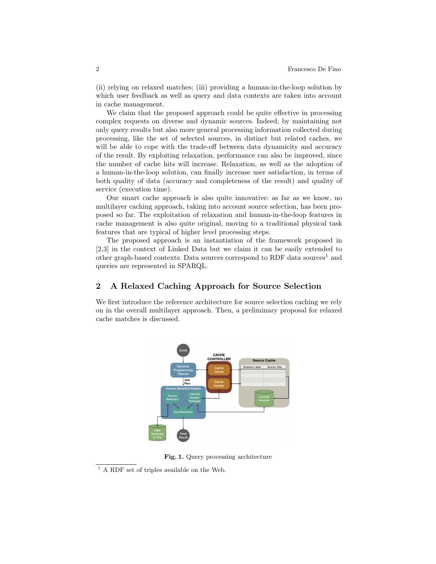(ii) relying on relaxed matches; (iii) providing a human-in-the-loop solution by which user feedback as well as query and data contexts are taken into account in cache management.

We claim that the proposed approach could be quite effective in processing complex requests on diverse and dynamic sources. Indeed, by maintaining not only query results but also more general processing information collected during processing, like the set of selected sources, in distinct but related caches, we will be able to cope with the trade-off between data dynamicity and accuracy of the result. By exploiting relaxation, performance can also be improved, since the number of cache hits will increase. Relaxation, as well as the adoption of a human-in-the-loop solution, can finally increase user satisfaction, in terms of both quality of data (accuracy and completeness of the result) and quality of service (execution time).

Our smart cache approach is also quite innovative: as far as we know, no multilayer caching approach, taking into account source selection, has been proposed so far. The exploitation of relaxation and human-in-the-loop features in cache management is also quite original, moving to a traditional physical task features that are typical of higher level processing steps.

The proposed approach is an instantiation of the framework proposed in [2,3] in the context of Linked Data but we claim it can be easily extended to other graph-based contexts. Data sources correspond to RDF data sources<sup>1</sup> and queries are represented in SPARQL.

## 2 A Relaxed Caching Approach for Source Selection

We first introduce the reference architecture for source selection caching we rely on in the overall multilayer approach. Then, a preliminary proposal for relaxed cache matches is discussed.



Fig. 1. Query processing architecture

 $^{\rm 1}$  A RDF set of triples available on the Web.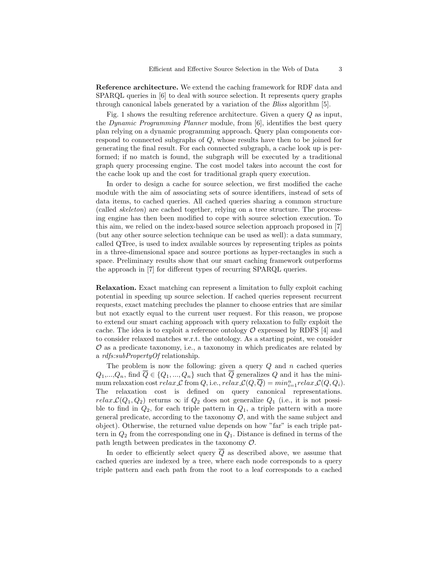Reference architecture. We extend the caching framework for RDF data and SPARQL queries in [6] to deal with source selection. It represents query graphs through canonical labels generated by a variation of the Bliss algorithm [5].

Fig. 1 shows the resulting reference architecture. Given a query Q as input, the Dynamic Programming Planner module, from [6], identifies the best query plan relying on a dynamic programming approach. Query plan components correspond to connected subgraphs of Q, whose results have then to be joined for generating the final result. For each connected subgraph, a cache look up is performed; if no match is found, the subgraph will be executed by a traditional graph query processing engine. The cost model takes into account the cost for the cache look up and the cost for traditional graph query execution.

In order to design a cache for source selection, we first modified the cache module with the aim of associating sets of source identifiers, instead of sets of data items, to cached queries. All cached queries sharing a common structure (called skeleton) are cached together, relying on a tree structure. The processing engine has then been modified to cope with source selection execution. To this aim, we relied on the index-based source selection approach proposed in [7] (but any other source selection technique can be used as well): a data summary, called QTree, is used to index available sources by representing triples as points in a three-dimensional space and source portions as hyper-rectangles in such a space. Preliminary results show that our smart caching framework outperforms the approach in [7] for different types of recurring SPARQL queries.

Relaxation. Exact matching can represent a limitation to fully exploit caching potential in speeding up source selection. If cached queries represent recurrent requests, exact matching precludes the planner to choose entries that are similar but not exactly equal to the current user request. For this reason, we propose to extend our smart caching approach with query relaxation to fully exploit the cache. The idea is to exploit a reference ontology  $\mathcal O$  expressed by RDFS [4] and to consider relaxed matches w.r.t. the ontology. As a starting point, we consider  $\mathcal O$  as a predicate taxonomy, i.e., a taxonomy in which predicates are related by a rdfs:subPropertyOf relationship.

The problem is now the following: given a query  $Q$  and  $n$  cached queries  $Q_1,...,Q_n$ , find  $\overline{Q} \in \{Q_1,...,Q_n\}$  such that  $\overline{Q}$  generalizes  $Q$  and it has the minimum relaxation cost  $relax \mathcal{L}$  from Q, i.e.,  $relax \mathcal{L}(Q, \overline{Q}) = min_{i=1}^n relax \mathcal{L}(Q, Q_i)$ . The relaxation cost is defined on query canonical representations.  $relax \mathcal{L}(Q_1, Q_2)$  returns  $\infty$  if  $Q_2$  does not generalize  $Q_1$  (i.e., it is not possible to find in  $Q_2$ , for each triple pattern in  $Q_1$ , a triple pattern with a more general predicate, according to the taxonomy  $\mathcal{O}$ , and with the same subject and object). Otherwise, the returned value depends on how "far" is each triple pattern in  $Q_2$  from the corresponding one in  $Q_1$ . Distance is defined in terms of the path length between predicates in the taxonomy  $\mathcal{O}$ .

In order to efficiently select query  $\overline{Q}$  as described above, we assume that cached queries are indexed by a tree, where each node corresponds to a query triple pattern and each path from the root to a leaf corresponds to a cached